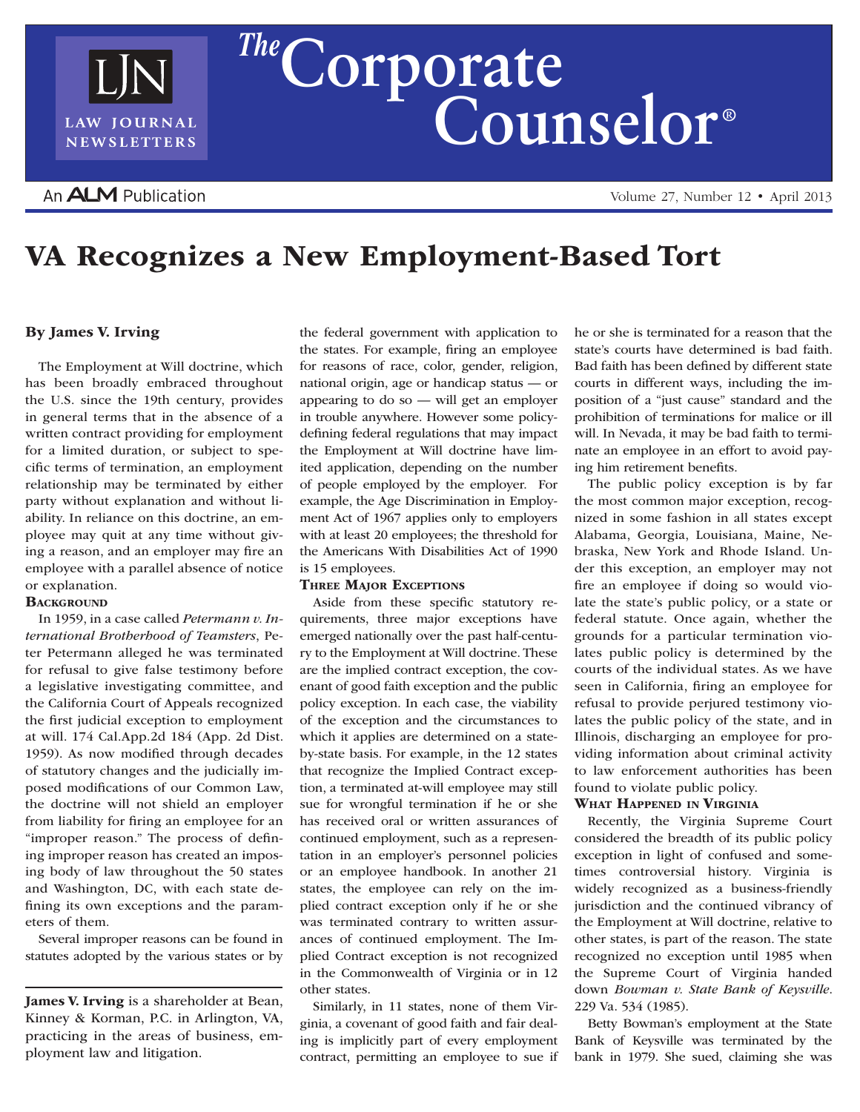

Volume 27, Number 12 • April 2013

# VA Recognizes a New Employment-Based Tort

# By James V. Irving

The Employment at Will doctrine, which has been broadly embraced throughout the U.S. since the 19th century, provides in general terms that in the absence of a written contract providing for employment for a limited duration, or subject to specific terms of termination, an employment relationship may be terminated by either party without explanation and without liability. In reliance on this doctrine, an employee may quit at any time without giving a reason, and an employer may fire an employee with a parallel absence of notice or explanation.

# **BACKGROUND**

In 1959, in a case called *Petermann v. International Brotherhood of Teamsters*, Peter Petermann alleged he was terminated for refusal to give false testimony before a legislative investigating committee, and the California Court of Appeals recognized the first judicial exception to employment at will. 174 Cal.App.2d 184 (App. 2d Dist. 1959). As now modified through decades of statutory changes and the judicially imposed modifications of our Common Law, the doctrine will not shield an employer from liability for firing an employee for an "improper reason." The process of defining improper reason has created an imposing body of law throughout the 50 states and Washington, DC, with each state defining its own exceptions and the parameters of them.

Several improper reasons can be found in statutes adopted by the various states or by

James V. Irving is a shareholder at Bean, Kinney & Korman, P.C. in Arlington, VA, practicing in the areas of business, employment law and litigation.

the federal government with application to the states. For example, firing an employee for reasons of race, color, gender, religion, national origin, age or handicap status — or appearing to do so — will get an employer in trouble anywhere. However some policydefining federal regulations that may impact the Employment at Will doctrine have limited application, depending on the number of people employed by the employer. For example, the Age Discrimination in Employment Act of 1967 applies only to employers with at least 20 employees; the threshold for the Americans With Disabilities Act of 1990 is 15 employees.

#### Three Major Exceptions

Aside from these specific statutory requirements, three major exceptions have emerged nationally over the past half-century to the Employment at Will doctrine. These are the implied contract exception, the covenant of good faith exception and the public policy exception. In each case, the viability of the exception and the circumstances to which it applies are determined on a stateby-state basis. For example, in the 12 states that recognize the Implied Contract exception, a terminated at-will employee may still sue for wrongful termination if he or she has received oral or written assurances of continued employment, such as a representation in an employer's personnel policies or an employee handbook. In another 21 states, the employee can rely on the implied contract exception only if he or she was terminated contrary to written assurances of continued employment. The Implied Contract exception is not recognized in the Commonwealth of Virginia or in 12 other states.

Similarly, in 11 states, none of them Virginia, a covenant of good faith and fair dealing is implicitly part of every employment contract, permitting an employee to sue if he or she is terminated for a reason that the state's courts have determined is bad faith. Bad faith has been defined by different state courts in different ways, including the imposition of a "just cause" standard and the prohibition of terminations for malice or ill will. In Nevada, it may be bad faith to terminate an employee in an effort to avoid paying him retirement benefits.

The public policy exception is by far the most common major exception, recognized in some fashion in all states except Alabama, Georgia, Louisiana, Maine, Nebraska, New York and Rhode Island. Under this exception, an employer may not fire an employee if doing so would violate the state's public policy, or a state or federal statute. Once again, whether the grounds for a particular termination violates public policy is determined by the courts of the individual states. As we have seen in California, firing an employee for refusal to provide perjured testimony violates the public policy of the state, and in Illinois, discharging an employee for providing information about criminal activity to law enforcement authorities has been found to violate public policy.

## WHAT HAPPENED IN VIRGINIA

Recently, the Virginia Supreme Court considered the breadth of its public policy exception in light of confused and sometimes controversial history. Virginia is widely recognized as a business-friendly jurisdiction and the continued vibrancy of the Employment at Will doctrine, relative to other states, is part of the reason. The state recognized no exception until 1985 when the Supreme Court of Virginia handed down *Bowman v. State Bank of Keysville*. 229 Va. 534 (1985).

Betty Bowman's employment at the State Bank of Keysville was terminated by the bank in 1979. She sued, claiming she was